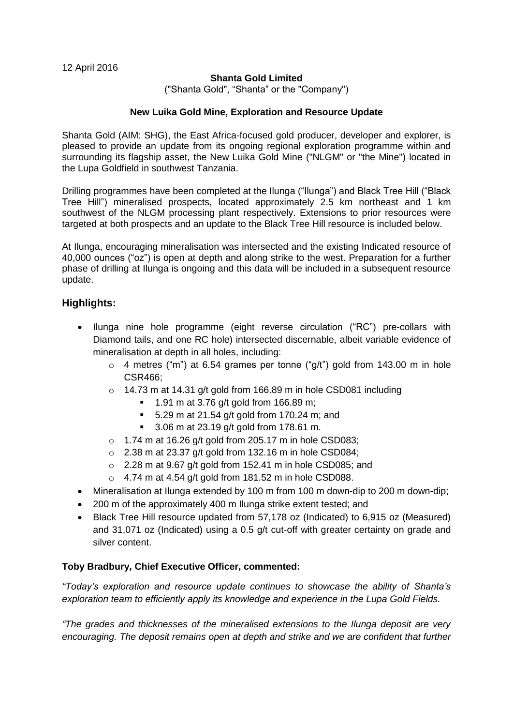### **Shanta Gold Limited**

("Shanta Gold", "Shanta" or the "Company")

#### **New Luika Gold Mine, Exploration and Resource Update**

Shanta Gold (AIM: SHG), the East Africa-focused gold producer, developer and explorer, is pleased to provide an update from its ongoing regional exploration programme within and surrounding its flagship asset, the New Luika Gold Mine ("NLGM" or "the Mine") located in the Lupa Goldfield in southwest Tanzania.

Drilling programmes have been completed at the Ilunga ("Ilunga") and Black Tree Hill ("Black Tree Hill") mineralised prospects, located approximately 2.5 km northeast and 1 km southwest of the NLGM processing plant respectively. Extensions to prior resources were targeted at both prospects and an update to the Black Tree Hill resource is included below.

At Ilunga, encouraging mineralisation was intersected and the existing Indicated resource of 40,000 ounces ("oz") is open at depth and along strike to the west. Preparation for a further phase of drilling at Ilunga is ongoing and this data will be included in a subsequent resource update.

# **Highlights:**

- Ilunga nine hole programme (eight reverse circulation ("RC") pre-collars with Diamond tails, and one RC hole) intersected discernable, albeit variable evidence of mineralisation at depth in all holes, including:
	- $\circ$  4 metres ("m") at 6.54 grames per tonne ("g/t") gold from 143.00 m in hole CSR466;
	- o 14.73 m at 14.31 g/t gold from 166.89 m in hole CSD081 including
		- $1.91 \text{ m}$  at 3.76 g/t gold from 166.89 m;
		- $\blacksquare$  5.29 m at 21.54 g/t gold from 170.24 m; and
		- **3.06 m at 23.19 g/t gold from 178.61 m.**
	- $\circ$  1.74 m at 16.26 g/t gold from 205.17 m in hole CSD083;
	- $\circ$  2.38 m at 23.37 g/t gold from 132.16 m in hole CSD084;
	- o 2.28 m at 9.67 g/t gold from 152.41 m in hole CSD085; and
	- $\circ$  4.74 m at 4.54 g/t gold from 181.52 m in hole CSD088.
- Mineralisation at Ilunga extended by 100 m from 100 m down-dip to 200 m down-dip;
- 200 m of the approximately 400 m Ilunga strike extent tested; and
- Black Tree Hill resource updated from 57,178 oz (Indicated) to 6,915 oz (Measured) and 31,071 oz (Indicated) using a 0.5 g/t cut-off with greater certainty on grade and silver content.

# **Toby Bradbury, Chief Executive Officer, commented:**

*"Today's exploration and resource update continues to showcase the ability of Shanta's exploration team to efficiently apply its knowledge and experience in the Lupa Gold Fields.* 

*"The grades and thicknesses of the mineralised extensions to the Ilunga deposit are very encouraging. The deposit remains open at depth and strike and we are confident that further*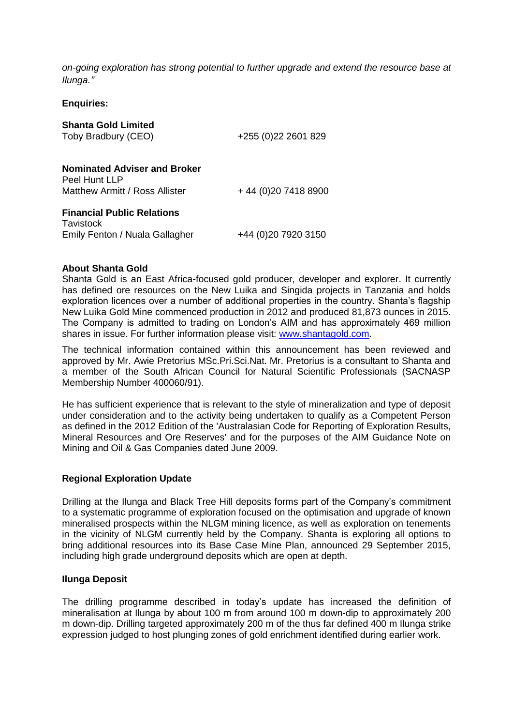*on-going exploration has strong potential to further upgrade and extend the resource base at Ilunga."*

**Enquiries:**

| <b>Shanta Gold Limited</b><br>Toby Bradbury (CEO)                                      | +255 (0) 22 2601 829  |
|----------------------------------------------------------------------------------------|-----------------------|
| <b>Nominated Adviser and Broker</b><br>Peel Hunt LLP<br>Matthew Armitt / Ross Allister | +44 (0) 20 7418 8900  |
| <b>Financial Public Relations</b><br>Tavistock<br>Emily Fenton / Nuala Gallagher       | +44 (0) 20 79 20 3150 |

#### **About Shanta Gold**

Shanta Gold is an East Africa-focused gold producer, developer and explorer. It currently has defined ore resources on the New Luika and Singida projects in Tanzania and holds exploration licences over a number of additional properties in the country. Shanta's flagship New Luika Gold Mine commenced production in 2012 and produced 81,873 ounces in 2015. The Company is admitted to trading on London's AIM and has approximately 469 million shares in issue. For further information please visit: [www.shantagold.com.](http://www.shantagold.com/)

The technical information contained within this announcement has been reviewed and approved by Mr. Awie Pretorius MSc.Pri.Sci.Nat. Mr. Pretorius is a consultant to Shanta and a member of the South African Council for Natural Scientific Professionals (SACNASP Membership Number 400060/91).

He has sufficient experience that is relevant to the style of mineralization and type of deposit under consideration and to the activity being undertaken to qualify as a Competent Person as defined in the 2012 Edition of the 'Australasian Code for Reporting of Exploration Results, Mineral Resources and Ore Reserves' and for the purposes of the AIM Guidance Note on Mining and Oil & Gas Companies dated June 2009.

# **Regional Exploration Update**

Drilling at the Ilunga and Black Tree Hill deposits forms part of the Company's commitment to a systematic programme of exploration focused on the optimisation and upgrade of known mineralised prospects within the NLGM mining licence, as well as exploration on tenements in the vicinity of NLGM currently held by the Company. Shanta is exploring all options to bring additional resources into its Base Case Mine Plan, announced 29 September 2015, including high grade underground deposits which are open at depth.

#### **Ilunga Deposit**

The drilling programme described in today's update has increased the definition of mineralisation at Ilunga by about 100 m from around 100 m down-dip to approximately 200 m down-dip. Drilling targeted approximately 200 m of the thus far defined 400 m Ilunga strike expression judged to host plunging zones of gold enrichment identified during earlier work.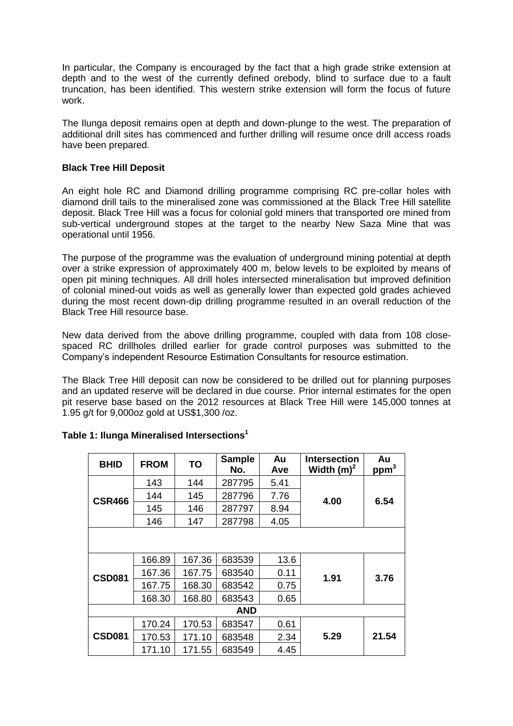In particular, the Company is encouraged by the fact that a high grade strike extension at depth and to the west of the currently defined orebody, blind to surface due to a fault truncation, has been identified. This western strike extension will form the focus of future work.

The Ilunga deposit remains open at depth and down-plunge to the west. The preparation of additional drill sites has commenced and further drilling will resume once drill access roads have been prepared.

### **Black Tree Hill Deposit**

An eight hole RC and Diamond drilling programme comprising RC pre-collar holes with diamond drill tails to the mineralised zone was commissioned at the Black Tree Hill satellite deposit. Black Tree Hill was a focus for colonial gold miners that transported ore mined from sub-vertical underground stopes at the target to the nearby New Saza Mine that was operational until 1956.

The purpose of the programme was the evaluation of underground mining potential at depth over a strike expression of approximately 400 m, below levels to be exploited by means of open pit mining techniques. All drill holes intersected mineralisation but improved definition of colonial mined-out voids as well as generally lower than expected gold grades achieved during the most recent down-dip drilling programme resulted in an overall reduction of the Black Tree Hill resource base.

New data derived from the above drilling programme, coupled with data from 108 closespaced RC drillholes drilled earlier for grade control purposes was submitted to the Company's independent Resource Estimation Consultants for resource estimation.

The Black Tree Hill deposit can now be considered to be drilled out for planning purposes and an updated reserve will be declared in due course. Prior internal estimates for the open pit reserve base based on the 2012 resources at Black Tree Hill were 145,000 tonnes at 1.95 g/t for 9,000oz gold at US\$1,300 /oz.

| <b>BHID</b>   | <b>FROM</b> | TO     | <b>Sample</b><br>No. | Au<br>Ave | <b>Intersection</b><br>Width $(m)^2$ | Au<br>ppm <sup>3</sup> |  |
|---------------|-------------|--------|----------------------|-----------|--------------------------------------|------------------------|--|
|               | 143         | 144    | 287795               | 5.41      |                                      |                        |  |
| CSR466        | 144         | 145    | 287796               | 7.76      | 4.00                                 | 6.54                   |  |
|               | 145         | 146    | 287797               | 8.94      |                                      |                        |  |
|               | 146         | 147    | 287798               | 4.05      |                                      |                        |  |
|               |             |        |                      |           |                                      |                        |  |
|               | 166.89      | 167.36 | 683539               | 13.6      |                                      |                        |  |
| <b>CSD081</b> | 167.36      | 167.75 | 683540               | 0.11      | 1.91                                 | 3.76                   |  |
|               | 167.75      | 168.30 | 683542               | 0.75      |                                      |                        |  |
|               | 168.30      | 168.80 | 683543               | 0.65      |                                      |                        |  |
|               |             |        | AND                  |           |                                      |                        |  |
|               | 170.24      | 170.53 | 683547               | 0.61      |                                      |                        |  |
| <b>CSD081</b> | 170.53      | 171.10 | 683548               | 2.34      | 5.29                                 | 21.54                  |  |
|               | 171.10      | 171.55 | 683549               | 4.45      |                                      |                        |  |

# **Table 1: Ilunga Mineralised Intersections<sup>1</sup>**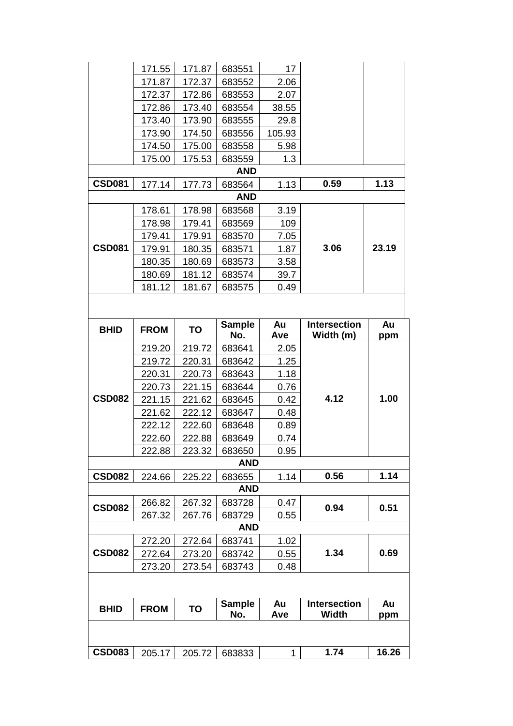|               | 171.55      | 171.87 | 683551               | 17        |                                  |           |  |  |  |
|---------------|-------------|--------|----------------------|-----------|----------------------------------|-----------|--|--|--|
|               | 171.87      | 172.37 | 683552               | 2.06      |                                  |           |  |  |  |
|               | 172.37      | 172.86 | 683553               | 2.07      |                                  |           |  |  |  |
|               | 172.86      | 173.40 | 683554               | 38.55     |                                  |           |  |  |  |
|               | 173.40      | 173.90 | 683555               | 29.8      |                                  |           |  |  |  |
|               | 173.90      | 174.50 | 683556               | 105.93    |                                  |           |  |  |  |
|               | 174.50      | 175.00 | 683558               | 5.98      |                                  |           |  |  |  |
|               | 175.00      | 175.53 | 683559               | 1.3       |                                  |           |  |  |  |
|               |             |        | <b>AND</b>           |           |                                  |           |  |  |  |
| <b>CSD081</b> | 177.14      | 177.73 | 683564               | 1.13      | 0.59                             | 1.13      |  |  |  |
|               |             |        | <b>AND</b>           |           |                                  |           |  |  |  |
|               | 178.61      | 178.98 | 683568               | 3.19      |                                  |           |  |  |  |
|               | 178.98      | 179.41 | 683569               | 109       |                                  |           |  |  |  |
|               | 179.41      | 179.91 | 683570               | 7.05      |                                  |           |  |  |  |
| <b>CSD081</b> | 179.91      | 180.35 | 683571               | 1.87      | 3.06                             | 23.19     |  |  |  |
|               | 180.35      | 180.69 | 683573               | 3.58      |                                  |           |  |  |  |
|               | 180.69      | 181.12 | 683574               | 39.7      |                                  |           |  |  |  |
|               | 181.12      | 181.67 | 683575               | 0.49      |                                  |           |  |  |  |
|               |             |        |                      |           |                                  |           |  |  |  |
| <b>BHID</b>   | <b>FROM</b> | TO     | <b>Sample</b><br>No. | Au<br>Ave | <b>Intersection</b><br>Width (m) | Au<br>ppm |  |  |  |
|               | 219.20      | 219.72 | 683641               | 2.05      |                                  |           |  |  |  |
|               | 219.72      | 220.31 | 683642               | 1.25      |                                  |           |  |  |  |
|               | 220.31      | 220.73 | 683643               | 1.18      |                                  |           |  |  |  |
|               | 220.73      | 221.15 | 683644               | 0.76      |                                  | 1.00      |  |  |  |
| <b>CSD082</b> | 221.15      | 221.62 | 683645               | 0.42      | 4.12                             |           |  |  |  |
|               | 221.62      | 222.12 | 683647               | 0.48      |                                  |           |  |  |  |
|               | 222.12      | 222.60 | 683648               | 0.89      |                                  |           |  |  |  |
|               | 222.60      | 222.88 | 683649               | 0.74      |                                  |           |  |  |  |
|               | 222.88      | 223.32 | 683650               | 0.95      |                                  |           |  |  |  |
|               |             |        | <b>AND</b>           |           |                                  |           |  |  |  |
| <b>CSD082</b> | 224.66      | 225.22 | 683655               | 1.14      | 0.56                             | 1.14      |  |  |  |
|               |             |        | <b>AND</b>           |           |                                  |           |  |  |  |
| <b>CSD082</b> | 266.82      | 267.32 | 683728               | 0.47      | 0.94                             | 0.51      |  |  |  |
|               | 267.32      | 267.76 | 683729               | 0.55      |                                  |           |  |  |  |
|               |             |        | <b>AND</b>           |           |                                  |           |  |  |  |
|               | 272.20      | 272.64 | 683741               | 1.02      |                                  |           |  |  |  |
| <b>CSD082</b> | 272.64      | 273.20 | 683742               | 0.55      | 1.34                             | 0.69      |  |  |  |
|               | 273.20      | 273.54 | 683743               | 0.48      |                                  |           |  |  |  |
|               |             |        |                      |           |                                  |           |  |  |  |
| <b>BHID</b>   | <b>FROM</b> | TO     | <b>Sample</b>        | Au        | <b>Intersection</b>              | Au        |  |  |  |
|               |             |        | No.                  | Ave       | <b>Width</b>                     | ppm       |  |  |  |
|               |             |        |                      |           |                                  |           |  |  |  |
| <b>CSD083</b> | 205.17      | 205.72 | 683833               | 1         | 1.74                             | 16.26     |  |  |  |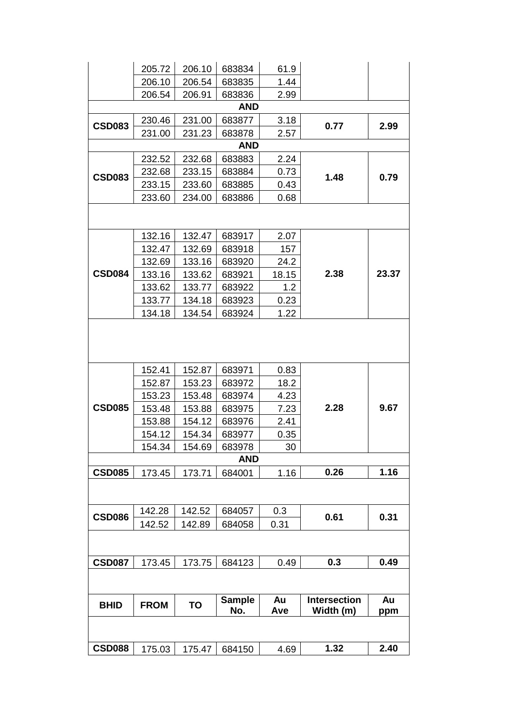| <b>CSD088</b> | 175.03           | 175.47           | 684150           | 4.69         | 1.32                | 2.40  |  |  |  |  |  |  |
|---------------|------------------|------------------|------------------|--------------|---------------------|-------|--|--|--|--|--|--|
|               |                  |                  |                  |              |                     |       |  |  |  |  |  |  |
| <b>BHID</b>   | <b>FROM</b>      | TO               | No.              | Ave          | Width (m)           | ppm   |  |  |  |  |  |  |
|               |                  |                  | <b>Sample</b>    | Au           | <b>Intersection</b> | Au    |  |  |  |  |  |  |
| <b>CSD087</b> | 173.45           | 173.75           | 684123           | 0.49         | 0.3                 | 0.49  |  |  |  |  |  |  |
|               |                  |                  |                  |              |                     |       |  |  |  |  |  |  |
|               | 142.52           | 142.89           | 684058           | 0.31         |                     |       |  |  |  |  |  |  |
| <b>CSD086</b> | 142.28           | 142.52           | 684057           | 0.3          | 0.61                | 0.31  |  |  |  |  |  |  |
|               |                  |                  |                  |              |                     |       |  |  |  |  |  |  |
| <b>CSD085</b> | 173.45           | 173.71           | 684001           | 1.16         | 0.26                | 1.16  |  |  |  |  |  |  |
|               |                  |                  | <b>AND</b>       |              |                     |       |  |  |  |  |  |  |
|               | 154.34           | 154.69           | 683978           | 30           |                     |       |  |  |  |  |  |  |
|               | 154.12           | 154.34           | 683977           | 0.35         |                     |       |  |  |  |  |  |  |
|               | 153.88           | 154.12           | 683976           | 2.41         |                     |       |  |  |  |  |  |  |
| <b>CSD085</b> | 153.48           | 153.88           | 683975           | 7.23         | 2.28                | 9.67  |  |  |  |  |  |  |
|               | 153.23           | 153.48           | 683974           | 4.23         |                     |       |  |  |  |  |  |  |
|               | 152.87           | 153.23           | 683972           | 18.2         |                     |       |  |  |  |  |  |  |
|               | 152.41           | 152.87           | 683971           | 0.83         |                     |       |  |  |  |  |  |  |
|               |                  |                  |                  |              |                     |       |  |  |  |  |  |  |
|               | 134.18           | 134.54           | 683924           | 1.22         |                     |       |  |  |  |  |  |  |
|               | 133.77           | 134.18           | 683923           | 0.23         |                     |       |  |  |  |  |  |  |
|               | 133.62           | 133.77           | 683922           | 1.2          |                     |       |  |  |  |  |  |  |
| <b>CSD084</b> | 133.16           | 133.62           | 683921           | 18.15        | 2.38                | 23.37 |  |  |  |  |  |  |
|               | 132.69           | 133.16           | 683920           | 24.2         |                     |       |  |  |  |  |  |  |
|               | 132.47           | 132.69           | 683918           | 157          |                     |       |  |  |  |  |  |  |
|               | 132.16           | 132.47           | 683917           | 2.07         |                     |       |  |  |  |  |  |  |
|               |                  |                  |                  |              |                     |       |  |  |  |  |  |  |
|               | 233.60           | 234.00           | 683886           | 0.68         |                     |       |  |  |  |  |  |  |
| <b>CSD083</b> | 233.15           | 233.60           | 683885           | 0.43         | 1.48                | 0.79  |  |  |  |  |  |  |
|               | 232.68           | 233.15           | 683884           | 0.73         |                     |       |  |  |  |  |  |  |
|               | 232.52           | 232.68           | 683883           | 2.24         |                     |       |  |  |  |  |  |  |
|               |                  |                  | <b>AND</b>       |              |                     |       |  |  |  |  |  |  |
| <b>CSD083</b> | 230.46<br>231.00 | 231.00<br>231.23 | 683877<br>683878 | 3.18<br>2.57 | 0.77                | 2.99  |  |  |  |  |  |  |
|               |                  |                  | <b>AND</b>       |              |                     |       |  |  |  |  |  |  |
|               | 206.54           | 206.91           | 683836           | 2.99         |                     |       |  |  |  |  |  |  |
|               | 206.10           | 206.54           | 683835           | 1.44         |                     |       |  |  |  |  |  |  |
|               | 205.72           | 206.10           | 683834           | 61.9         |                     |       |  |  |  |  |  |  |
|               |                  |                  |                  |              |                     |       |  |  |  |  |  |  |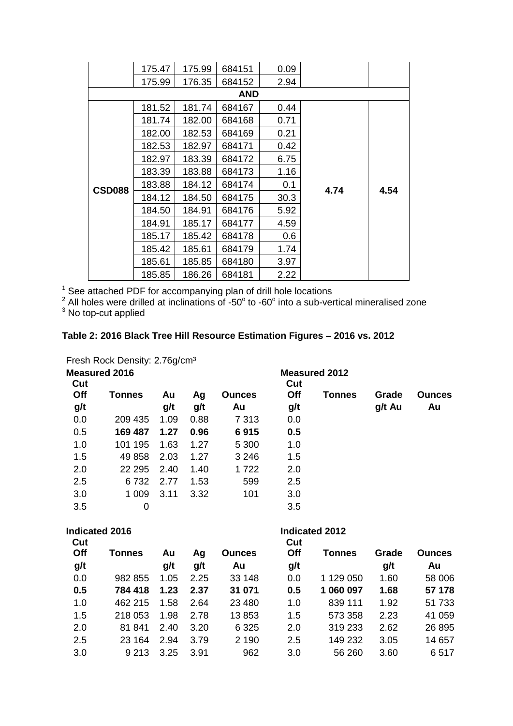|               | 175.47 | 175.99 | 684151     | 0.09 |      |      |
|---------------|--------|--------|------------|------|------|------|
|               | 175.99 | 176.35 | 684152     | 2.94 |      |      |
|               |        |        | <b>AND</b> |      |      |      |
|               | 181.52 | 181.74 | 684167     | 0.44 |      |      |
|               | 181.74 | 182.00 | 684168     | 0.71 |      |      |
|               | 182.00 | 182.53 | 684169     | 0.21 |      |      |
|               | 182.53 | 182.97 | 684171     | 0.42 |      |      |
|               | 182.97 | 183.39 | 684172     | 6.75 | 4.74 |      |
|               | 183.39 | 183.88 | 684173     | 1.16 |      |      |
| <b>CSD088</b> | 183.88 | 184.12 | 684174     | 0.1  |      | 4.54 |
|               | 184.12 | 184.50 | 684175     | 30.3 |      |      |
|               | 184.50 | 184.91 | 684176     | 5.92 |      |      |
|               | 184.91 | 185.17 | 684177     | 4.59 |      |      |
|               | 185.17 | 185.42 | 684178     | 0.6  |      |      |
|               | 185.42 | 185.61 | 684179     | 1.74 |      |      |
|               | 185.61 | 185.85 | 684180     | 3.97 |      |      |
|               | 185.85 | 186.26 | 684181     | 2.22 |      |      |

 $1$  See attached PDF for accompanying plan of drill hole locations

 $2$  All holes were drilled at inclinations of -50 $^{\circ}$  to -60 $^{\circ}$  into a sub-vertical mineralised zone

 $3$  No top-cut applied

# **Table 2: 2016 Black Tree Hill Resource Estimation Figures – 2016 vs. 2012**

Fresh Rock Density: 2.76g/cm<sup>3</sup>

| <b>Measured 2016</b><br>Cut |               |      |      | <b>Measured 2012</b><br>Cut |     |        |        |               |  |  |
|-----------------------------|---------------|------|------|-----------------------------|-----|--------|--------|---------------|--|--|
| Off                         | <b>Tonnes</b> | Au   | Ag   | <b>Ounces</b>               | Off | Tonnes | Grade  | <b>Ounces</b> |  |  |
| g/t                         |               | g/t  | g/t  | Au                          | g/t |        | g/t Au | Au            |  |  |
| 0.0                         | 209 435       | 1.09 | 0.88 | 7 3 1 3                     | 0.0 |        |        |               |  |  |
| 0.5                         | 169 487       | 1.27 | 0.96 | 6915                        | 0.5 |        |        |               |  |  |
| 1.0                         | 101 195       | 1.63 | 1.27 | 5 3 0 0                     | 1.0 |        |        |               |  |  |
| 1.5                         | 49 858        | 2.03 | 1.27 | 3 2 4 6                     | 1.5 |        |        |               |  |  |
| 2.0                         | 22 295        | 2.40 | 1.40 | 1722                        | 2.0 |        |        |               |  |  |
| 2.5                         | 6732          | 2.77 | 1.53 | 599                         | 2.5 |        |        |               |  |  |
| 3.0                         | 1 0 0 9       | 3.11 | 3.32 | 101                         | 3.0 |        |        |               |  |  |
| 3.5                         | 0             |      |      |                             | 3.5 |        |        |               |  |  |

|            | Indicated 2016 |      |      |               |            |               |       |               |
|------------|----------------|------|------|---------------|------------|---------------|-------|---------------|
| Cut<br>Off | Tonnes         | Au   | Ag   | <b>Ounces</b> | Cut<br>Off | <b>Tonnes</b> | Grade | <b>Ounces</b> |
| g/t        |                | g/t  | g/t  | Au            | g/t        |               | g/t   | Au            |
| 0.0        | 982 855        | 1.05 | 2.25 | 33 148        | 0.0        | 1 129 050     | 1.60  | 58 006        |
| 0.5        | 784 418        | 1.23 | 2.37 | 31 071        | 0.5        | 1 060 097     | 1.68  | 57 178        |
| 1.0        | 462 215        | 1.58 | 2.64 | 23 4 80       | 1.0        | 839 111       | 1.92  | 51 733        |
| 1.5        | 218 053        | 1.98 | 2.78 | 13853         | 1.5        | 573 358       | 2.23  | 41 059        |
| 2.0        | 81 841         | 2.40 | 3.20 | 6 3 2 5       | 2.0        | 319 233       | 2.62  | 26 895        |
| 2.5        | 23 164         | 2.94 | 3.79 | 2 1 9 0       | 2.5        | 149 232       | 3.05  | 14 657        |
| 3.0        | 9 2 1 3        | 3.25 | 3.91 | 962           | 3.0        | 56 260        | 3.60  | 6517          |